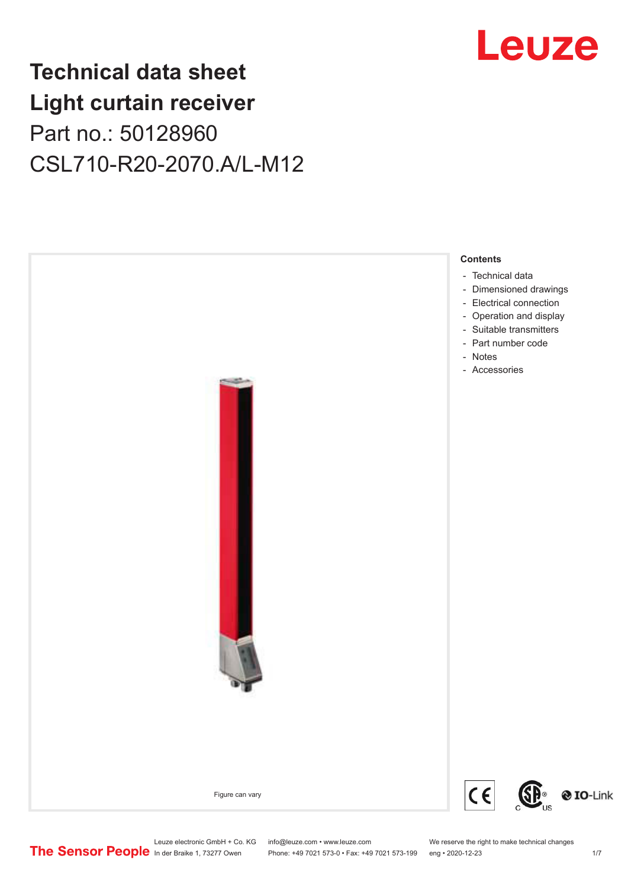## **Technical data sheet Light curtain receiver** Part no.: 50128960 CSL710-R20-2070.A/L-M12



Leuze electronic GmbH + Co. KG info@leuze.com • www.leuze.com We reserve the right to make technical changes<br>
The Sensor People in der Braike 1, 73277 Owen Phone: +49 7021 573-0 • Fax: +49 7021 573-199 eng • 2020-12-23

Phone: +49 7021 573-0 • Fax: +49 7021 573-199 eng • 2020-12-23 1 /7

## Leuze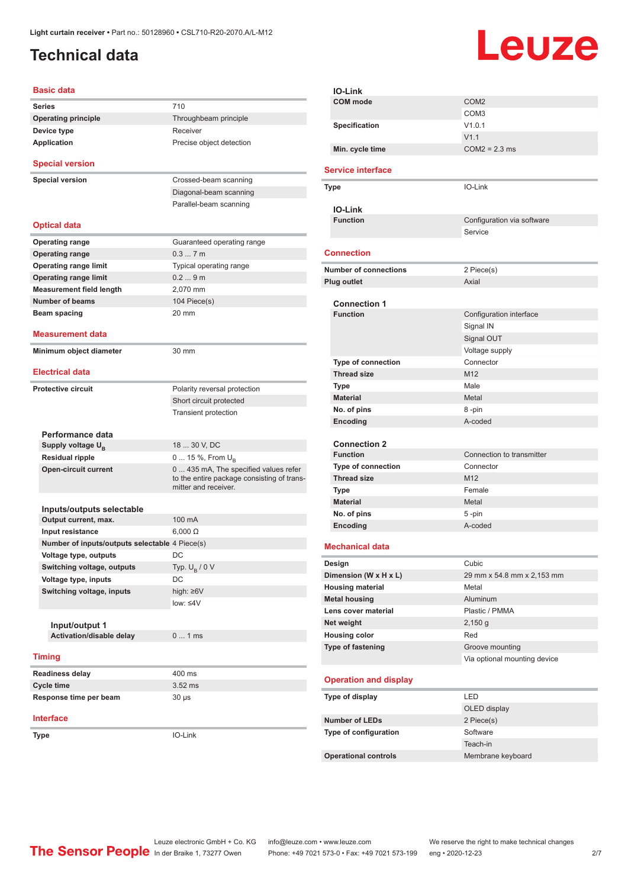## <span id="page-1-0"></span>**Technical data**

# Leuze

| <b>Basic data</b>                              |                                                                                                             |
|------------------------------------------------|-------------------------------------------------------------------------------------------------------------|
| <b>Series</b>                                  | 710                                                                                                         |
| <b>Operating principle</b>                     | Throughbeam principle                                                                                       |
| Device type                                    | Receiver                                                                                                    |
| Application                                    | Precise object detection                                                                                    |
|                                                |                                                                                                             |
| <b>Special version</b>                         |                                                                                                             |
| <b>Special version</b>                         | Crossed-beam scanning                                                                                       |
|                                                | Diagonal-beam scanning                                                                                      |
|                                                | Parallel-beam scanning                                                                                      |
| <b>Optical data</b>                            |                                                                                                             |
| <b>Operating range</b>                         | Guaranteed operating range                                                                                  |
| <b>Operating range</b>                         | 0.37m                                                                                                       |
| <b>Operating range limit</b>                   | Typical operating range                                                                                     |
| <b>Operating range limit</b>                   | 0.29m                                                                                                       |
| <b>Measurement field length</b>                | 2,070 mm                                                                                                    |
| Number of beams                                | 104 Piece(s)                                                                                                |
| <b>Beam spacing</b>                            | 20 mm                                                                                                       |
|                                                |                                                                                                             |
| Measurement data                               |                                                                                                             |
| Minimum object diameter                        | 30 mm                                                                                                       |
| <b>Electrical data</b>                         |                                                                                                             |
| <b>Protective circuit</b>                      | Polarity reversal protection                                                                                |
|                                                | Short circuit protected                                                                                     |
|                                                | <b>Transient protection</b>                                                                                 |
|                                                |                                                                                                             |
| Performance data                               |                                                                                                             |
| Supply voltage U <sub>B</sub>                  | 18  30 V, DC                                                                                                |
| Residual ripple                                | 0  15 %, From $U_{\rm B}$                                                                                   |
| <b>Open-circuit current</b>                    | 0  435 mA, The specified values refer<br>to the entire package consisting of trans-<br>mitter and receiver. |
|                                                |                                                                                                             |
| Inputs/outputs selectable                      |                                                                                                             |
| Output current, max.                           | 100 mA                                                                                                      |
| Input resistance                               | $6,000 \Omega$                                                                                              |
| Number of inputs/outputs selectable 4 Piece(s) |                                                                                                             |
| Voltage type, outputs                          | DC                                                                                                          |
| Switching voltage, outputs                     | Typ. $U_R / 0 V$<br>DC                                                                                      |
| Voltage type, inputs                           |                                                                                                             |
| Switching voltage, inputs                      | high: $\geq 6V$<br>low: $\leq 4V$                                                                           |
|                                                |                                                                                                             |
| Input/output 1                                 |                                                                                                             |
| <b>Activation/disable delay</b>                | 01ms                                                                                                        |
| <b>Timing</b>                                  |                                                                                                             |
|                                                |                                                                                                             |
| <b>Readiness delay</b>                         | 400 ms                                                                                                      |
| <b>Cycle time</b>                              | $3.52$ ms                                                                                                   |
| Response time per beam                         | $30 \mu s$                                                                                                  |
| <b>Interface</b>                               |                                                                                                             |
| Type                                           | IO-Link                                                                                                     |
|                                                |                                                                                                             |

| IO-Link                      |                              |
|------------------------------|------------------------------|
| <b>COM</b> mode              | COM <sub>2</sub>             |
|                              | COM <sub>3</sub>             |
| Specification                | V1.0.1                       |
|                              | V1.1                         |
| Min. cycle time              | $COM2 = 2.3$ ms              |
|                              |                              |
| <b>Service interface</b>     |                              |
| Type                         | IO-Link                      |
| <b>IO-Link</b>               |                              |
| <b>Function</b>              | Configuration via software   |
|                              | Service                      |
| <b>Connection</b>            |                              |
|                              |                              |
| <b>Number of connections</b> | 2 Piece(s)                   |
| Plug outlet                  | Axial                        |
| <b>Connection 1</b>          |                              |
| <b>Function</b>              | Configuration interface      |
|                              | Signal IN                    |
|                              | Signal OUT                   |
|                              | Voltage supply               |
| Type of connection           | Connector                    |
| <b>Thread size</b>           | M <sub>12</sub>              |
| <b>Type</b>                  | Male                         |
| <b>Material</b>              | Metal                        |
| No. of pins                  | 8-pin                        |
| Encoding                     | A-coded                      |
|                              |                              |
| <b>Connection 2</b>          |                              |
| <b>Function</b>              | Connection to transmitter    |
| <b>Type of connection</b>    | Connector                    |
| <b>Thread size</b>           | M <sub>12</sub>              |
| <b>Type</b>                  | Female                       |
| <b>Material</b>              | Metal                        |
| No. of pins                  | 5-pin                        |
| Encoding                     | A-coded                      |
| <b>Mechanical data</b>       |                              |
|                              |                              |
| Design                       | Cubic                        |
| Dimension (W x H x L)        | 29 mm x 54.8 mm x 2,153 mm   |
| <b>Housing material</b>      | Metal                        |
| <b>Metal housing</b>         | Aluminum                     |
| Lens cover material          | Plastic / PMMA               |
| Net weight                   | $2,150$ g                    |
| <b>Housing color</b>         | Red                          |
| <b>Type of fastening</b>     | Groove mounting              |
|                              | Via optional mounting device |
| <b>Operation and display</b> |                              |
| Type of display              | LED                          |
|                              | OLED display                 |
| <b>Number of LEDs</b>        | 2 Piece(s)                   |
| Type of configuration        | Software                     |
|                              | Teach-in                     |
| <b>Operational controls</b>  | Membrane keyboard            |
|                              |                              |

Leuze electronic GmbH + Co. KG info@leuze.com • www.leuze.com We reserve the right to make technical changes In der Braike 1, 73277 Owen Phone: +49 7021 573-0 • Fax: +49 7021 573-199 eng • 2020-12-23 2/7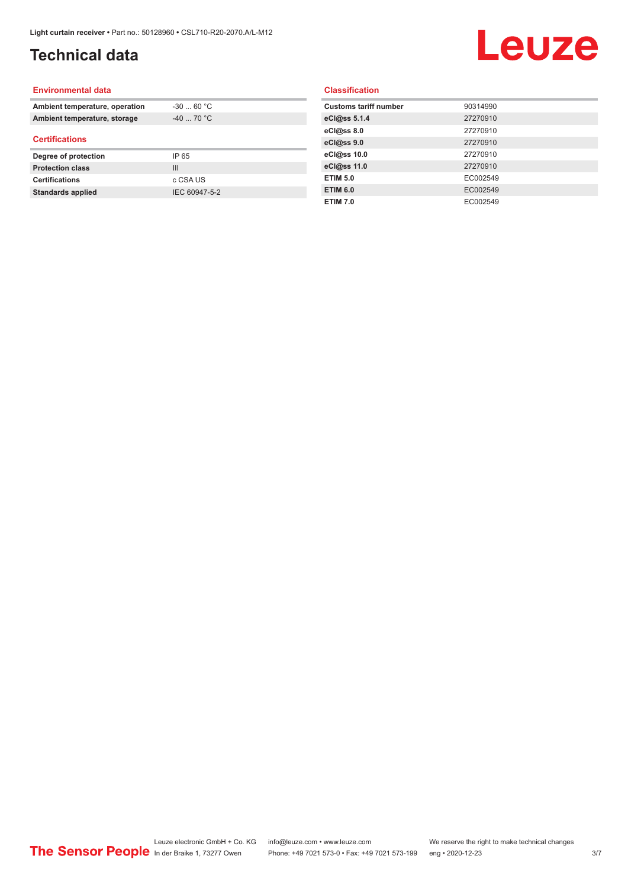## **Technical data**

# Leuze

#### **Environmental data**

| Ambient temperature, operation | $-30$ 60 °C    |  |
|--------------------------------|----------------|--|
| Ambient temperature, storage   | $-40$ 70 °C    |  |
| <b>Certifications</b>          |                |  |
| Degree of protection           | IP 65          |  |
| <b>Protection class</b>        | $\mathbf{III}$ |  |
| <b>Certifications</b>          | c CSA US       |  |
| <b>Standards applied</b>       | IEC 60947-5-2  |  |

### **Classification**

| <b>Customs tariff number</b> | 90314990 |
|------------------------------|----------|
| eCl@ss 5.1.4                 | 27270910 |
| eCl@ss 8.0                   | 27270910 |
| eCl@ss 9.0                   | 27270910 |
| eCl@ss 10.0                  | 27270910 |
| eCl@ss 11.0                  | 27270910 |
| <b>ETIM 5.0</b>              | EC002549 |
| <b>ETIM 6.0</b>              | EC002549 |
| <b>ETIM 7.0</b>              | EC002549 |
|                              |          |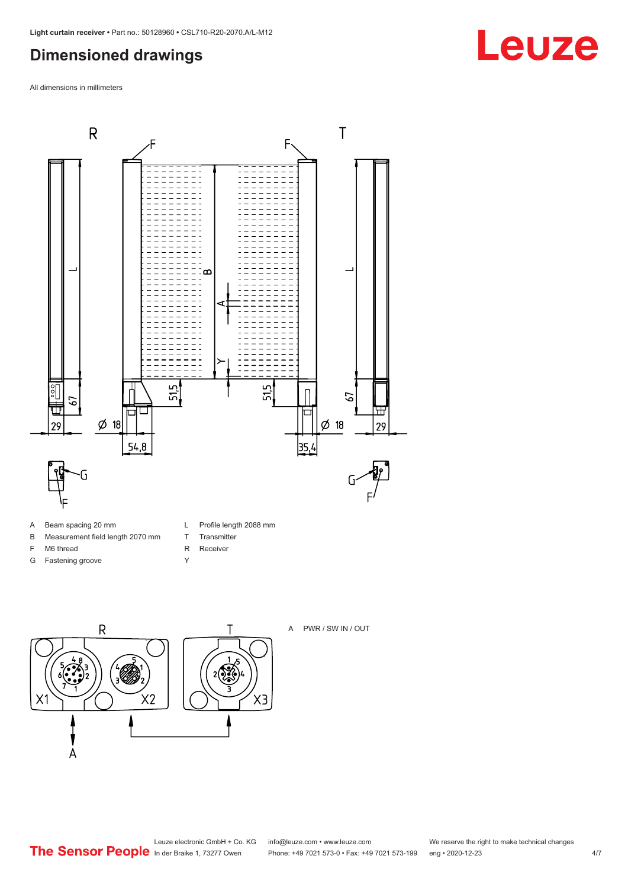### <span id="page-3-0"></span>**Dimensioned drawings**

All dimensions in millimeters



- A Beam spacing 20 mm
- B Measurement field length 2070 mm
- F M6 thread
- G Fastening groove
- L Profile length 2088 mm
- T Transmitter
- R Receiver
- Y



A PWR / SW IN / OUT



 $X3$ 



## **Leuze**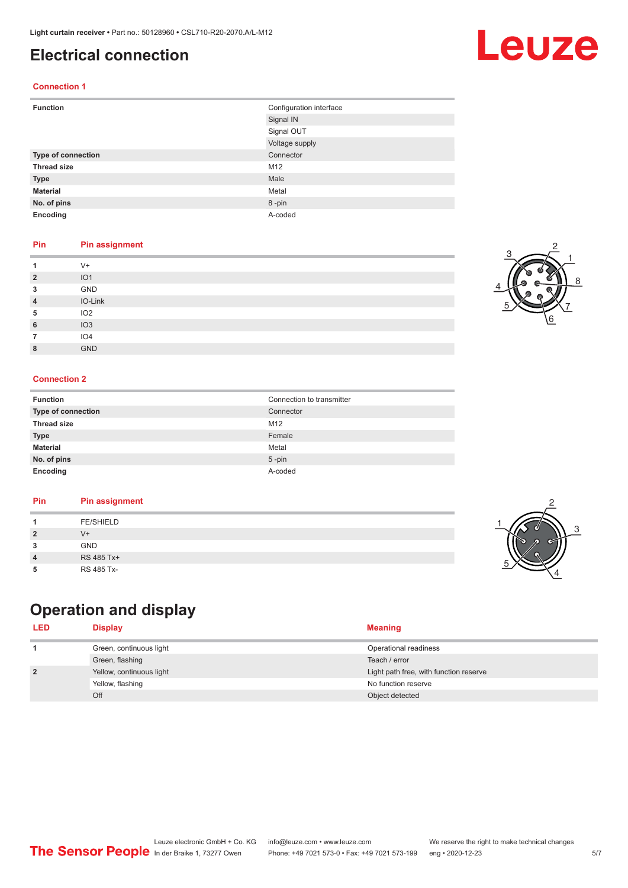### <span id="page-4-0"></span>**Electrical connection**

### **Connection 1**

| <b>Function</b>           | Configuration interface |
|---------------------------|-------------------------|
|                           | Signal IN               |
|                           | Signal OUT              |
|                           | Voltage supply          |
| <b>Type of connection</b> | Connector               |
| <b>Thread size</b>        | M12                     |
| <b>Type</b>               | Male                    |
| <b>Material</b>           | Metal                   |
| No. of pins               | 8-pin                   |
| Encoding                  | A-coded                 |

### **Pin Pin assignment**

|                | $V +$           |
|----------------|-----------------|
| $\overline{2}$ | IO <sub>1</sub> |
| 3              | GND             |
| $\overline{4}$ | IO-Link         |
| 5              | IO <sub>2</sub> |
| 6              | IO3             |
|                | IO <sub>4</sub> |
| 8              | <b>GND</b>      |

#### **Connection 2**

| <b>Function</b>           | Connection to transmitter |
|---------------------------|---------------------------|
| <b>Type of connection</b> | Connector                 |
| <b>Thread size</b>        | M <sub>12</sub>           |
| <b>Type</b>               | Female                    |
| <b>Material</b>           | Metal                     |
| No. of pins               | $5$ -pin                  |
| Encoding                  | A-coded                   |

#### **Pin Pin assignment**

|--|

## **Operation and display**

| <b>LED</b>     | Display                  | <b>Meaning</b>                         |
|----------------|--------------------------|----------------------------------------|
|                | Green, continuous light  | Operational readiness                  |
|                | Green, flashing          | Teach / error                          |
| $\overline{2}$ | Yellow, continuous light | Light path free, with function reserve |
|                | Yellow, flashing         | No function reserve                    |
|                | Off                      | Object detected                        |









## Leuze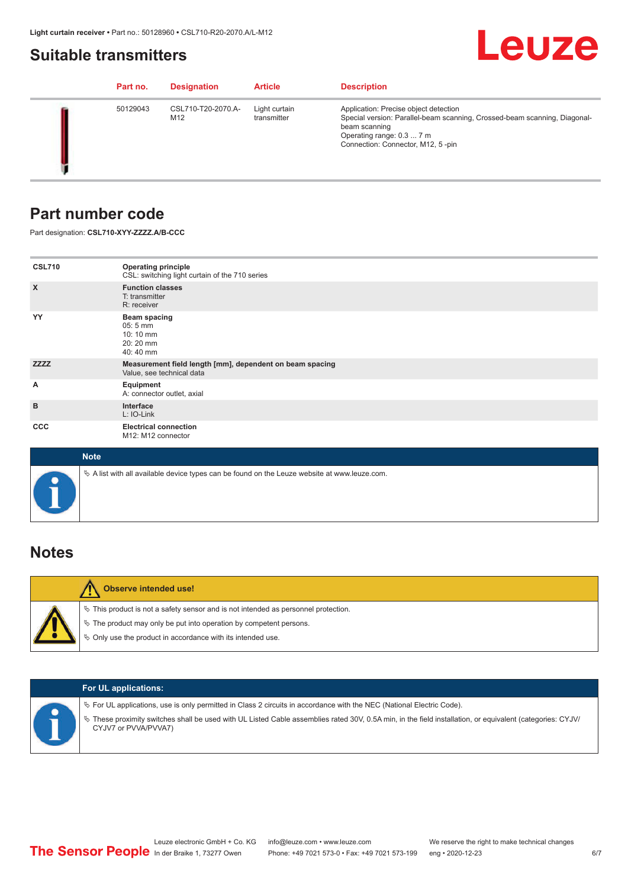### <span id="page-5-0"></span>**Suitable transmitters**

## Leuze

|  | Part no. | <b>Designation</b>        | <b>Article</b>               | <b>Description</b>                                                                                                                                                                                    |
|--|----------|---------------------------|------------------------------|-------------------------------------------------------------------------------------------------------------------------------------------------------------------------------------------------------|
|  | 50129043 | CSL710-T20-2070.A-<br>M12 | Light curtain<br>transmitter | Application: Precise object detection<br>Special version: Parallel-beam scanning, Crossed-beam scanning, Diagonal-<br>beam scanning<br>Operating range: 0.3  7 m<br>Connection: Connector, M12, 5-pin |

### **Part number code**

Part designation: **CSL710-XYY-ZZZZ.A/B-CCC**

| <b>CSL710</b><br>$\boldsymbol{\mathsf{X}}$ | <b>Operating principle</b><br>CSL: switching light curtain of the 710 series<br><b>Function classes</b><br>T: transmitter |
|--------------------------------------------|---------------------------------------------------------------------------------------------------------------------------|
| YY                                         | R: receiver<br>Beam spacing<br>$05:5 \, \text{mm}$<br>10:10 mm<br>20:20 mm<br>40:40 mm                                    |
| <b>ZZZZ</b>                                | Measurement field length [mm], dependent on beam spacing<br>Value, see technical data                                     |
| Α                                          | Equipment<br>A: connector outlet, axial                                                                                   |
| B                                          | Interface<br>L: IO-Link                                                                                                   |
| <b>CCC</b>                                 | <b>Electrical connection</b><br>M12: M12 connector                                                                        |

| <b>Note</b>                                                                                       |
|---------------------------------------------------------------------------------------------------|
| Vector A list with all available device types can be found on the Leuze website at www.leuze.com. |

### **Notes**

| <b>Observe intended use!</b>                                                                                                                                                                                                     |
|----------------------------------------------------------------------------------------------------------------------------------------------------------------------------------------------------------------------------------|
| $\%$ This product is not a safety sensor and is not intended as personnel protection.<br>$\%$ The product may only be put into operation by competent persons.<br>$\%$ Only use the product in accordance with its intended use. |

|  | <b>For UL applications:</b>                                                                                                                                                                                                                                                                   |
|--|-----------------------------------------------------------------------------------------------------------------------------------------------------------------------------------------------------------------------------------------------------------------------------------------------|
|  | $\%$ For UL applications, use is only permitted in Class 2 circuits in accordance with the NEC (National Electric Code).<br>These proximity switches shall be used with UL Listed Cable assemblies rated 30V, 0.5A min, in the field installation, or equivalent (categories: CYJV/<br>$\phi$ |
|  | CYJV7 or PVVA/PVVA7)                                                                                                                                                                                                                                                                          |